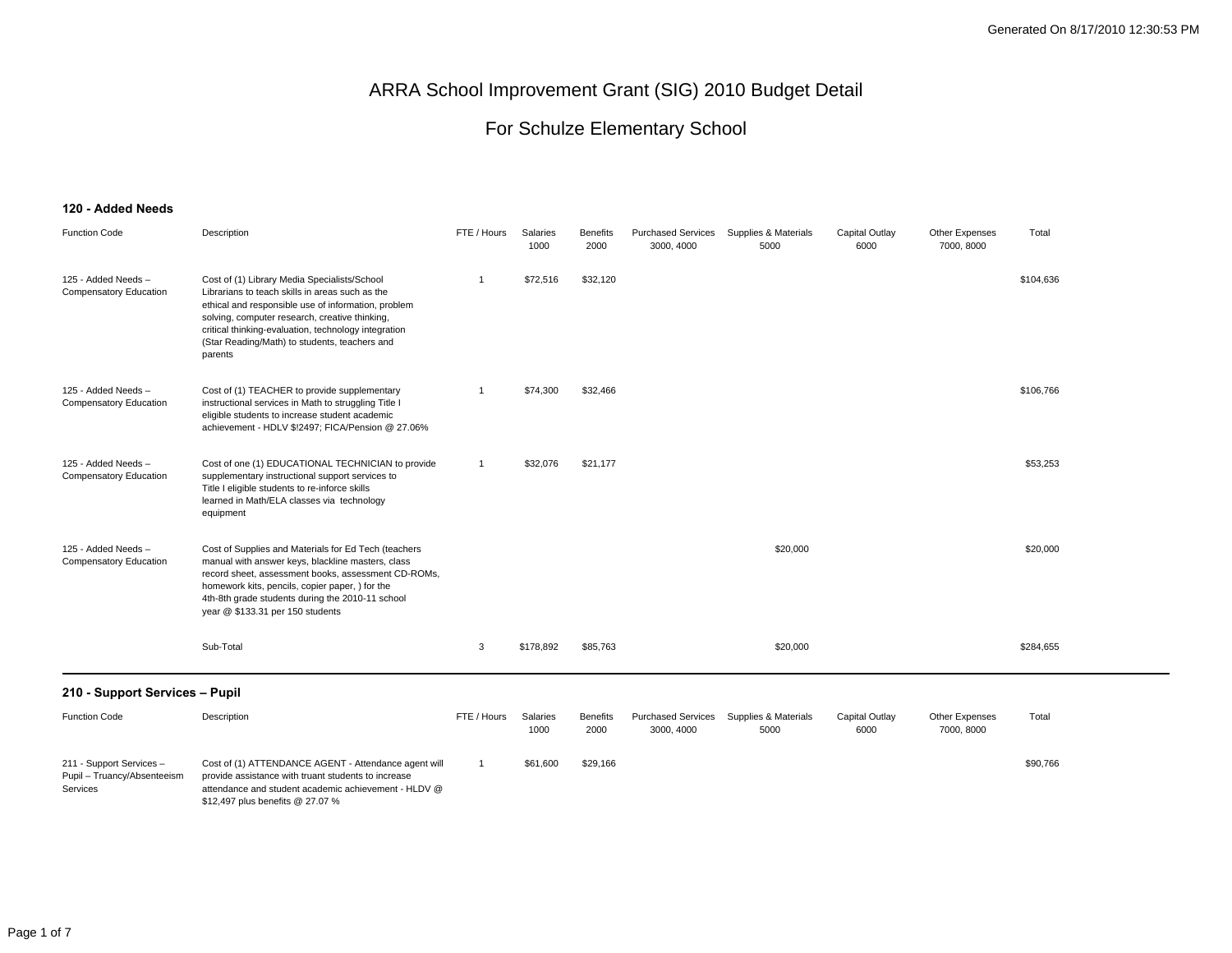#### For Schulze Elementary School

#### **120 - Added Needs**

| <b>Function Code</b>                                                | Description                                                                                                                                                                                                                                                                                                                  | FTE / Hours  | Salaries<br>1000 | <b>Benefits</b><br>2000 | <b>Purchased Services</b><br>3000, 4000 | Supplies & Materials<br>5000 | Capital Outlay<br>6000 | <b>Other Expenses</b><br>7000, 8000 | Total     |  |
|---------------------------------------------------------------------|------------------------------------------------------------------------------------------------------------------------------------------------------------------------------------------------------------------------------------------------------------------------------------------------------------------------------|--------------|------------------|-------------------------|-----------------------------------------|------------------------------|------------------------|-------------------------------------|-----------|--|
| 125 - Added Needs -<br><b>Compensatory Education</b>                | Cost of (1) Library Media Specialists/School<br>Librarians to teach skills in areas such as the<br>ethical and responsible use of information, problem<br>solving, computer research, creative thinking,<br>critical thinking-evaluation, technology integration<br>(Star Reading/Math) to students, teachers and<br>parents | $\mathbf{1}$ | \$72,516         | \$32,120                |                                         |                              |                        |                                     | \$104,636 |  |
| 125 - Added Needs -<br><b>Compensatory Education</b>                | Cost of (1) TEACHER to provide supplementary<br>instructional services in Math to struggling Title I<br>eligible students to increase student academic<br>achievement - HDLV \$!2497; FICA/Pension @ 27.06%                                                                                                                  | -1           | \$74,300         | \$32,466                |                                         |                              |                        |                                     | \$106,766 |  |
| 125 - Added Needs -<br>Compensatory Education                       | Cost of one (1) EDUCATIONAL TECHNICIAN to provide<br>supplementary instructional support services to<br>Title I eligible students to re-inforce skills<br>learned in Math/ELA classes via technology<br>equipment                                                                                                            | $\mathbf{1}$ | \$32,076         | \$21,177                |                                         |                              |                        |                                     | \$53,253  |  |
| 125 - Added Needs -<br>Compensatory Education                       | Cost of Supplies and Materials for Ed Tech (teachers<br>manual with answer keys, blackline masters, class<br>record sheet, assessment books, assessment CD-ROMs,<br>homework kits, pencils, copier paper, ) for the<br>4th-8th grade students during the 2010-11 school<br>year @ \$133.31 per 150 students                  |              |                  |                         |                                         | \$20,000                     |                        |                                     | \$20,000  |  |
|                                                                     | Sub-Total                                                                                                                                                                                                                                                                                                                    | 3            | \$178,892        | \$85,763                |                                         | \$20,000                     |                        |                                     | \$284,655 |  |
| 210 - Support Services - Pupil                                      |                                                                                                                                                                                                                                                                                                                              |              |                  |                         |                                         |                              |                        |                                     |           |  |
| <b>Function Code</b>                                                | Description                                                                                                                                                                                                                                                                                                                  | FTE / Hours  | Salaries<br>1000 | <b>Benefits</b><br>2000 | <b>Purchased Services</b><br>3000, 4000 | Supplies & Materials<br>5000 | Capital Outlay<br>6000 | Other Expenses<br>7000, 8000        | Total     |  |
| 211 - Support Services -<br>Pupil - Truancy/Absenteeism<br>Services | Cost of (1) ATTENDANCE AGENT - Attendance agent will<br>provide assistance with truant students to increase<br>attendance and student academic achievement - HLDV @<br>\$12,497 plus benefits @ 27.07 %                                                                                                                      | -1           | \$61,600         | \$29,166                |                                         |                              |                        |                                     | \$90,766  |  |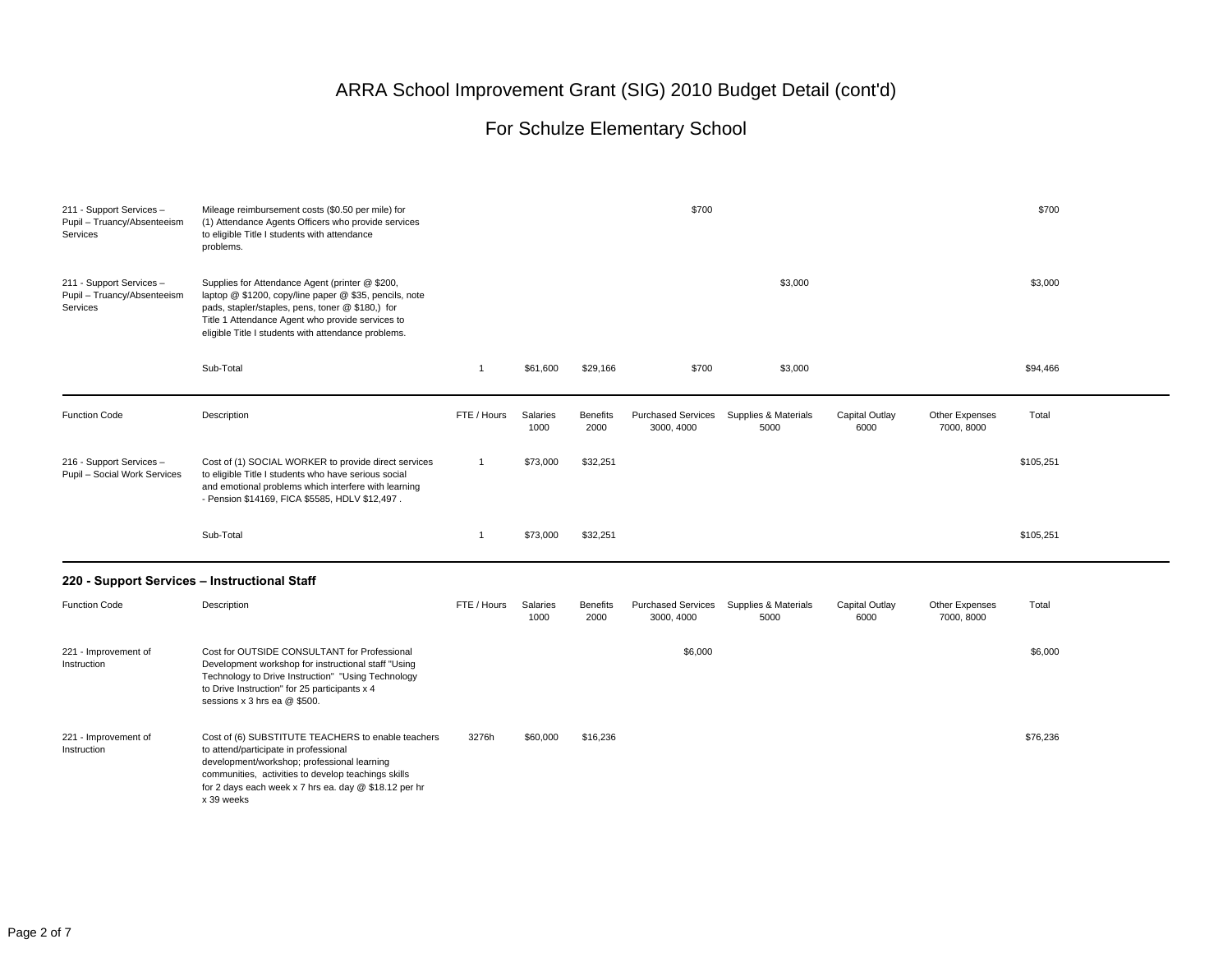#### For Schulze Elementary School

| 211 - Support Services -<br>Pupil - Truancy/Absenteeism<br>Services | Mileage reimbursement costs (\$0.50 per mile) for<br>(1) Attendance Agents Officers who provide services<br>to eligible Title I students with attendance<br>problems.                                                                                                    | \$700<br>\$700 |                  |                         |                                         |                              |                        |                              |           |  |
|---------------------------------------------------------------------|--------------------------------------------------------------------------------------------------------------------------------------------------------------------------------------------------------------------------------------------------------------------------|----------------|------------------|-------------------------|-----------------------------------------|------------------------------|------------------------|------------------------------|-----------|--|
| 211 - Support Services -<br>Pupil - Truancy/Absenteeism<br>Services | Supplies for Attendance Agent (printer @ \$200,<br>laptop @ \$1200, copy/line paper @ \$35, pencils, note<br>pads, stapler/staples, pens, toner @ \$180,) for<br>Title 1 Attendance Agent who provide services to<br>eligible Title I students with attendance problems. |                |                  |                         |                                         | \$3,000                      |                        |                              | \$3,000   |  |
|                                                                     | Sub-Total                                                                                                                                                                                                                                                                | $\overline{1}$ | \$61,600         | \$29,166                | \$700                                   | \$3,000                      |                        |                              | \$94,466  |  |
| <b>Function Code</b>                                                | Description                                                                                                                                                                                                                                                              | FTE / Hours    | Salaries<br>1000 | <b>Benefits</b><br>2000 | <b>Purchased Services</b><br>3000, 4000 | Supplies & Materials<br>5000 | Capital Outlay<br>6000 | Other Expenses<br>7000, 8000 | Total     |  |
| 216 - Support Services -<br>Pupil - Social Work Services            | Cost of (1) SOCIAL WORKER to provide direct services<br>to eligible Title I students who have serious social<br>and emotional problems which interfere with learning<br>- Pension \$14169, FICA \$5585, HDLV \$12,497.                                                   | $\mathbf{1}$   | \$73,000         | \$32,251                |                                         |                              |                        |                              | \$105,251 |  |
|                                                                     | Sub-Total                                                                                                                                                                                                                                                                | $\overline{1}$ | \$73,000         | \$32,251                |                                         |                              |                        |                              | \$105,251 |  |
| 220 - Support Services - Instructional Staff                        |                                                                                                                                                                                                                                                                          |                |                  |                         |                                         |                              |                        |                              |           |  |
| <b>Function Code</b>                                                | Description                                                                                                                                                                                                                                                              | FTE / Hours    | Salaries<br>1000 | <b>Benefits</b><br>2000 | <b>Purchased Services</b><br>3000, 4000 | Supplies & Materials<br>5000 | Capital Outlay<br>6000 | Other Expenses<br>7000, 8000 | Total     |  |
| 221 - Improvement of<br>Instruction                                 | Cost for OUTSIDE CONSULTANT for Professional<br>Development workshop for instructional staff "Using<br>Technology to Drive Instruction" "Using Technology<br>to Drive Instruction" for 25 participants x 4<br>sessions x 3 hrs ea @ \$500.                               |                |                  |                         | \$6,000                                 |                              |                        |                              | \$6,000   |  |
| 221 - Improvement of<br>Instruction                                 | Cost of (6) SUBSTITUTE TEACHERS to enable teachers<br>to attend/participate in professional<br>development/workshop; professional learning                                                                                                                               | 3276h          | \$60,000         | \$16,236                |                                         |                              |                        |                              | \$76,236  |  |

communities, activities to develop teachings skills for 2 days each week x 7 hrs ea. day @ \$18.12 per hr

x 39 weeks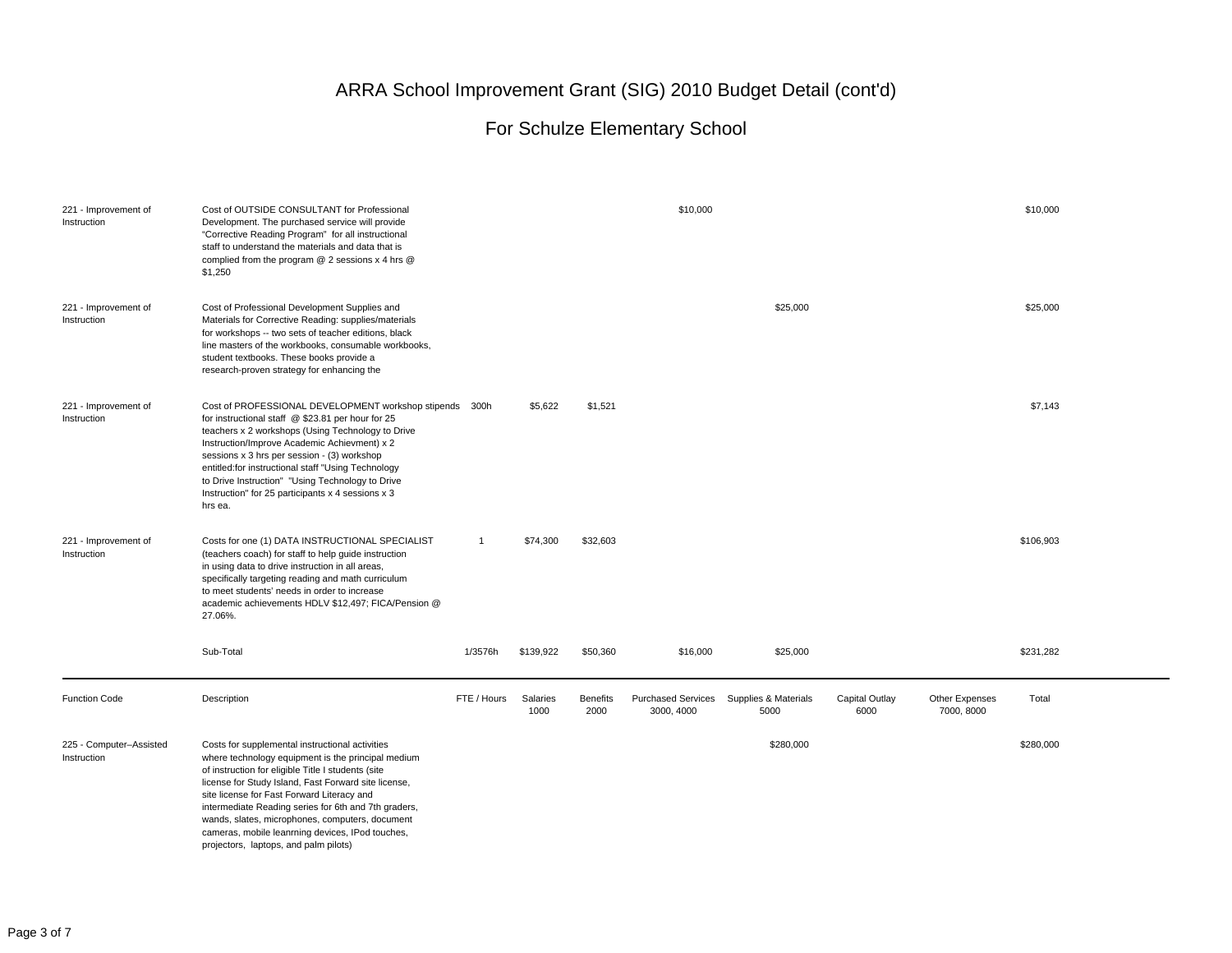| 221 - Improvement of<br>Instruction    | Cost of OUTSIDE CONSULTANT for Professional<br>Development. The purchased service will provide<br>"Corrective Reading Program" for all instructional<br>staff to understand the materials and data that is<br>complied from the program @ 2 sessions x 4 hrs @<br>\$1,250                                                                                                                                                                                                 |                |                  |                         | \$10,000                                |                              |                        |                              | \$10,000  |
|----------------------------------------|---------------------------------------------------------------------------------------------------------------------------------------------------------------------------------------------------------------------------------------------------------------------------------------------------------------------------------------------------------------------------------------------------------------------------------------------------------------------------|----------------|------------------|-------------------------|-----------------------------------------|------------------------------|------------------------|------------------------------|-----------|
| 221 - Improvement of<br>Instruction    | Cost of Professional Development Supplies and<br>Materials for Corrective Reading: supplies/materials<br>for workshops -- two sets of teacher editions, black<br>line masters of the workbooks, consumable workbooks,<br>student textbooks. These books provide a<br>research-proven strategy for enhancing the                                                                                                                                                           |                |                  |                         |                                         | \$25,000                     |                        |                              | \$25,000  |
| 221 - Improvement of<br>Instruction    | Cost of PROFESSIONAL DEVELOPMENT workshop stipends 300h<br>for instructional staff @ \$23.81 per hour for 25<br>teachers x 2 workshops (Using Technology to Drive<br>Instruction/Improve Academic Achievment) x 2<br>sessions x 3 hrs per session - (3) workshop<br>entitled:for instructional staff "Using Technology<br>to Drive Instruction" "Using Technology to Drive<br>Instruction" for 25 participants x 4 sessions x 3<br>hrs ea.                                |                | \$5,622          | \$1,521                 |                                         |                              |                        |                              | \$7,143   |
| 221 - Improvement of<br>Instruction    | Costs for one (1) DATA INSTRUCTIONAL SPECIALIST<br>(teachers coach) for staff to help guide instruction<br>in using data to drive instruction in all areas,<br>specifically targeting reading and math curriculum<br>to meet students' needs in order to increase<br>academic achievements HDLV \$12,497; FICA/Pension @<br>27.06%.                                                                                                                                       | $\overline{1}$ | \$74,300         | \$32,603                |                                         |                              |                        |                              | \$106,903 |
|                                        | Sub-Total                                                                                                                                                                                                                                                                                                                                                                                                                                                                 | 1/3576h        | \$139,922        | \$50,360                | \$16,000                                | \$25,000                     |                        |                              | \$231,282 |
| <b>Function Code</b>                   | Description                                                                                                                                                                                                                                                                                                                                                                                                                                                               | FTE / Hours    | Salaries<br>1000 | <b>Benefits</b><br>2000 | <b>Purchased Services</b><br>3000, 4000 | Supplies & Materials<br>5000 | Capital Outlay<br>6000 | Other Expenses<br>7000, 8000 | Total     |
| 225 - Computer-Assisted<br>Instruction | Costs for supplemental instructional activities<br>where technology equipment is the principal medium<br>of instruction for eligible Title I students (site<br>license for Study Island, Fast Forward site license,<br>site license for Fast Forward Literacy and<br>intermediate Reading series for 6th and 7th graders,<br>wands, slates, microphones, computers, document<br>cameras, mobile leanrning devices, IPod touches,<br>projectors, laptops, and palm pilots) |                |                  |                         |                                         | \$280,000                    |                        |                              | \$280,000 |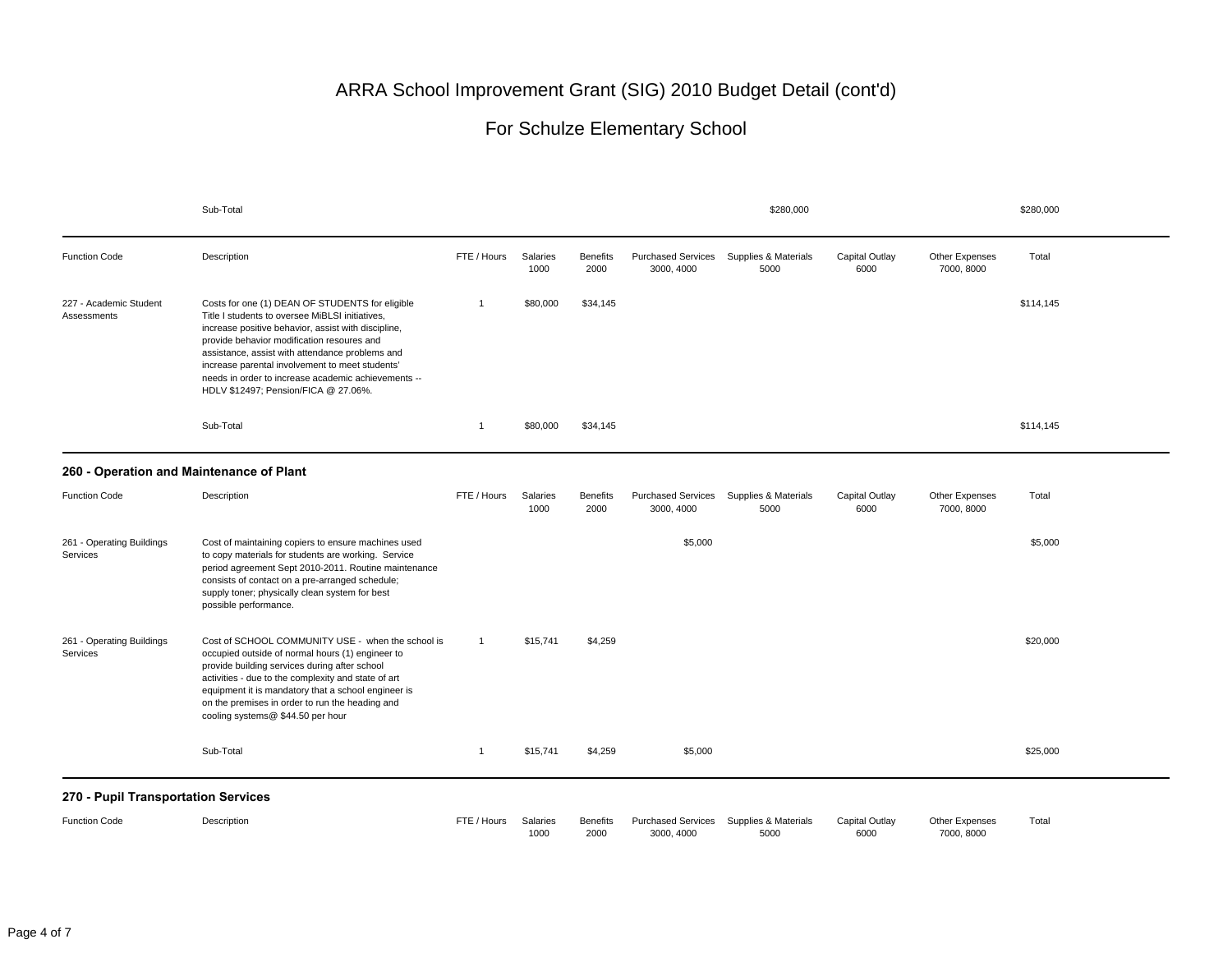|                                       | Sub-Total                                                                                                                                                                                                                                                                                                                                                                                                    |                |                  |                         |                                         | \$280,000                    |                        |                                     | \$280,000 |
|---------------------------------------|--------------------------------------------------------------------------------------------------------------------------------------------------------------------------------------------------------------------------------------------------------------------------------------------------------------------------------------------------------------------------------------------------------------|----------------|------------------|-------------------------|-----------------------------------------|------------------------------|------------------------|-------------------------------------|-----------|
| <b>Function Code</b>                  | Description                                                                                                                                                                                                                                                                                                                                                                                                  | FTE / Hours    | Salaries<br>1000 | <b>Benefits</b><br>2000 | <b>Purchased Services</b><br>3000, 4000 | Supplies & Materials<br>5000 | Capital Outlay<br>6000 | Other Expenses<br>7000, 8000        | Total     |
| 227 - Academic Student<br>Assessments | Costs for one (1) DEAN OF STUDENTS for eligible<br>Title I students to oversee MiBLSI initiatives,<br>increase positive behavior, assist with discipline,<br>provide behavior modification resoures and<br>assistance, assist with attendance problems and<br>increase parental involvement to meet students'<br>needs in order to increase academic achievements --<br>HDLV \$12497; Pension/FICA @ 27.06%. | $\overline{1}$ | \$80,000         | \$34,145                |                                         |                              |                        |                                     | \$114,145 |
|                                       | Sub-Total                                                                                                                                                                                                                                                                                                                                                                                                    | $\overline{1}$ | \$80,000         | \$34,145                |                                         |                              |                        |                                     | \$114,145 |
|                                       | 260 - Operation and Maintenance of Plant                                                                                                                                                                                                                                                                                                                                                                     |                |                  |                         |                                         |                              |                        |                                     |           |
| <b>Function Code</b>                  | Description                                                                                                                                                                                                                                                                                                                                                                                                  | FTE / Hours    | Salaries<br>1000 | <b>Benefits</b><br>2000 | <b>Purchased Services</b><br>3000, 4000 | Supplies & Materials<br>5000 | Capital Outlay<br>6000 | Other Expenses<br>7000, 8000        | Total     |
| 261 - Operating Buildings<br>Services | Cost of maintaining copiers to ensure machines used<br>to copy materials for students are working. Service<br>period agreement Sept 2010-2011. Routine maintenance<br>consists of contact on a pre-arranged schedule;<br>supply toner; physically clean system for best<br>possible performance.                                                                                                             |                |                  |                         | \$5,000                                 |                              |                        |                                     | \$5,000   |
| 261 - Operating Buildings<br>Services | Cost of SCHOOL COMMUNITY USE - when the school is<br>occupied outside of normal hours (1) engineer to<br>provide building services during after school<br>activities - due to the complexity and state of art<br>equipment it is mandatory that a school engineer is<br>on the premises in order to run the heading and<br>cooling systems@ \$44.50 per hour                                                 | $\overline{1}$ | \$15,741         | \$4,259                 |                                         |                              |                        |                                     | \$20,000  |
|                                       | Sub-Total                                                                                                                                                                                                                                                                                                                                                                                                    | $\overline{1}$ | \$15,741         | \$4,259                 | \$5,000                                 |                              |                        |                                     | \$25,000  |
| 270 - Pupil Transportation Services   |                                                                                                                                                                                                                                                                                                                                                                                                              |                |                  |                         |                                         |                              |                        |                                     |           |
| <b>Function Code</b>                  | Description                                                                                                                                                                                                                                                                                                                                                                                                  | FTE / Hours    | Salaries<br>1000 | <b>Benefits</b><br>2000 | <b>Purchased Services</b><br>3000, 4000 | Supplies & Materials<br>5000 | Capital Outlay<br>6000 | <b>Other Expenses</b><br>7000, 8000 | Total     |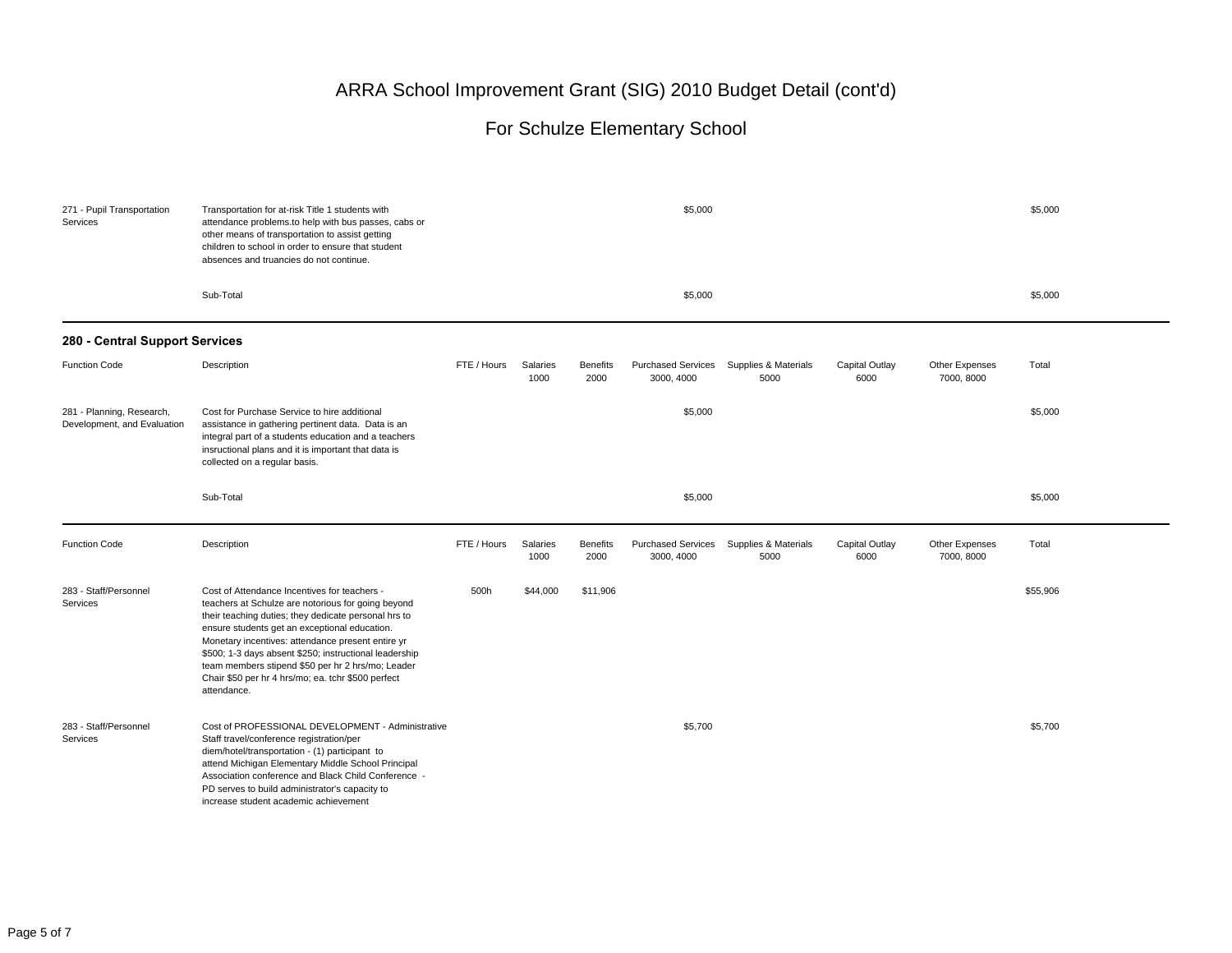| 271 - Pupil Transportation<br>Services                   | Transportation for at-risk Title 1 students with<br>attendance problems to help with bus passes, cabs or<br>other means of transportation to assist getting<br>children to school in order to ensure that student<br>absences and truancies do not continue.                                                                                                                                                                                         |             | \$5,000          |                         |                                         |                              |                        |                              |          |  |
|----------------------------------------------------------|------------------------------------------------------------------------------------------------------------------------------------------------------------------------------------------------------------------------------------------------------------------------------------------------------------------------------------------------------------------------------------------------------------------------------------------------------|-------------|------------------|-------------------------|-----------------------------------------|------------------------------|------------------------|------------------------------|----------|--|
|                                                          | Sub-Total                                                                                                                                                                                                                                                                                                                                                                                                                                            |             |                  |                         | \$5,000                                 |                              |                        |                              | \$5,000  |  |
| 280 - Central Support Services                           |                                                                                                                                                                                                                                                                                                                                                                                                                                                      |             |                  |                         |                                         |                              |                        |                              |          |  |
| <b>Function Code</b>                                     | Description                                                                                                                                                                                                                                                                                                                                                                                                                                          | FTE / Hours | Salaries<br>1000 | <b>Benefits</b><br>2000 | <b>Purchased Services</b><br>3000, 4000 | Supplies & Materials<br>5000 | Capital Outlay<br>6000 | Other Expenses<br>7000, 8000 | Total    |  |
| 281 - Planning, Research,<br>Development, and Evaluation | Cost for Purchase Service to hire additional<br>assistance in gathering pertinent data. Data is an<br>integral part of a students education and a teachers<br>insructional plans and it is important that data is<br>collected on a regular basis.                                                                                                                                                                                                   |             |                  |                         | \$5,000                                 |                              |                        |                              | \$5,000  |  |
|                                                          | Sub-Total                                                                                                                                                                                                                                                                                                                                                                                                                                            |             |                  |                         | \$5,000                                 |                              |                        |                              | \$5,000  |  |
| <b>Function Code</b>                                     | Description                                                                                                                                                                                                                                                                                                                                                                                                                                          | FTE / Hours | Salaries<br>1000 | <b>Benefits</b><br>2000 | <b>Purchased Services</b><br>3000, 4000 | Supplies & Materials<br>5000 | Capital Outlay<br>6000 | Other Expenses<br>7000, 8000 | Total    |  |
| 283 - Staff/Personnel<br>Services                        | Cost of Attendance Incentives for teachers -<br>teachers at Schulze are notorious for going beyond<br>their teaching duties; they dedicate personal hrs to<br>ensure students get an exceptional education.<br>Monetary incentives: attendance present entire yr<br>\$500; 1-3 days absent \$250; instructional leadership<br>team members stipend \$50 per hr 2 hrs/mo; Leader<br>Chair \$50 per hr 4 hrs/mo; ea. tchr \$500 perfect<br>attendance. | 500h        | \$44,000         | \$11,906                |                                         |                              |                        |                              | \$55,906 |  |
| 283 - Staff/Personnel<br>Services                        | Cost of PROFESSIONAL DEVELOPMENT - Administrative<br>Staff travel/conference registration/per<br>diem/hotel/transportation - (1) participant to<br>attend Michigan Elementary Middle School Principal<br>Association conference and Black Child Conference -<br>PD serves to build administrator's capacity to<br>increase student academic achievement                                                                                              |             |                  |                         | \$5,700                                 |                              |                        |                              | \$5,700  |  |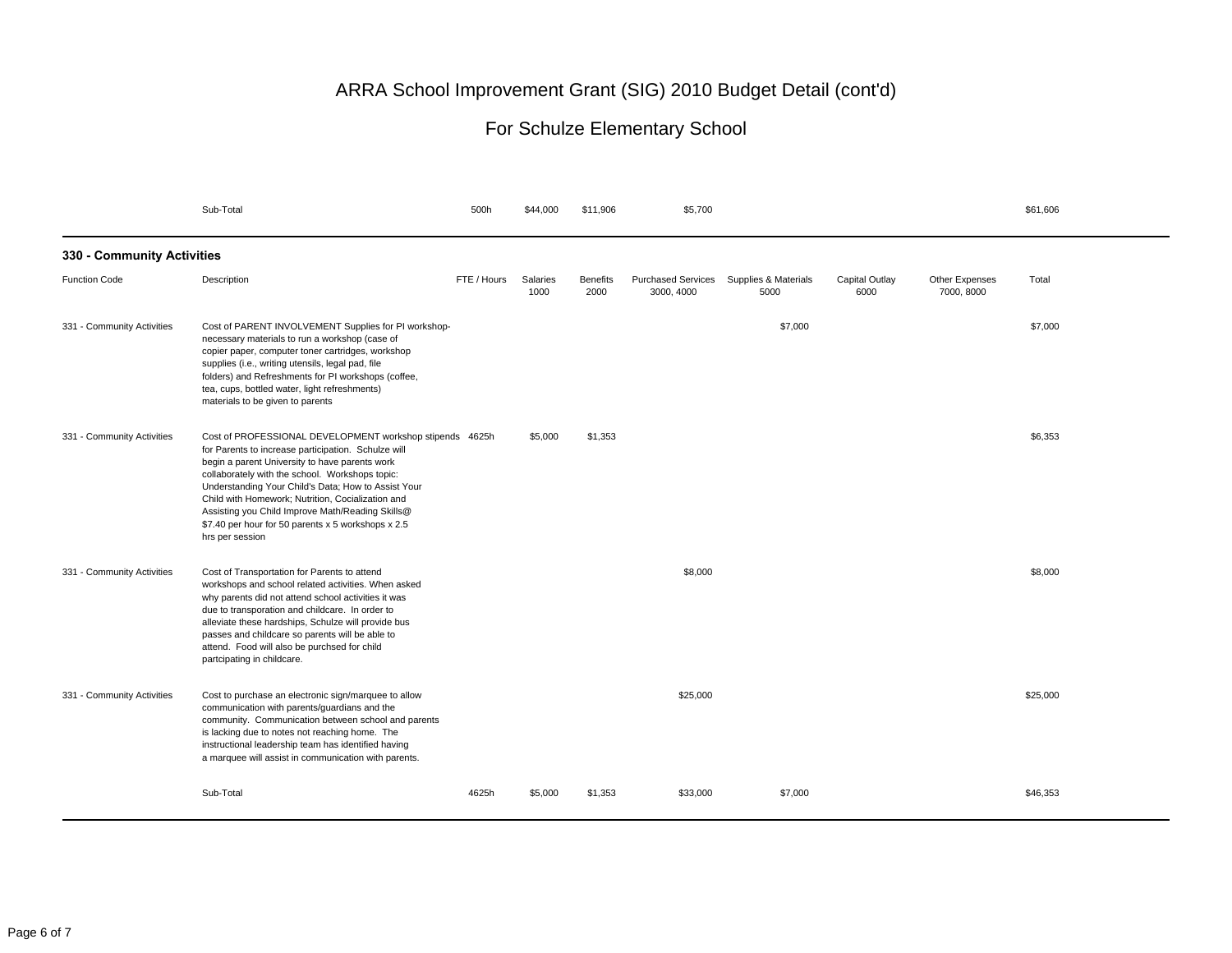|                            | Sub-Total                                                                                                                                                                                                                                                                                                                                                                                                                                                     | 500h        | \$44,000         | \$11,906                | \$5,700                                 |                              |                        |                              | \$61,606 |  |  |
|----------------------------|---------------------------------------------------------------------------------------------------------------------------------------------------------------------------------------------------------------------------------------------------------------------------------------------------------------------------------------------------------------------------------------------------------------------------------------------------------------|-------------|------------------|-------------------------|-----------------------------------------|------------------------------|------------------------|------------------------------|----------|--|--|
| 330 - Community Activities |                                                                                                                                                                                                                                                                                                                                                                                                                                                               |             |                  |                         |                                         |                              |                        |                              |          |  |  |
| <b>Function Code</b>       | Description                                                                                                                                                                                                                                                                                                                                                                                                                                                   | FTE / Hours | Salaries<br>1000 | <b>Benefits</b><br>2000 | <b>Purchased Services</b><br>3000, 4000 | Supplies & Materials<br>5000 | Capital Outlay<br>6000 | Other Expenses<br>7000, 8000 | Total    |  |  |
| 331 - Community Activities | Cost of PARENT INVOLVEMENT Supplies for PI workshop-<br>necessary materials to run a workshop (case of<br>copier paper, computer toner cartridges, workshop<br>supplies (i.e., writing utensils, legal pad, file<br>folders) and Refreshments for PI workshops (coffee,<br>tea, cups, bottled water, light refreshments)<br>materials to be given to parents                                                                                                  |             |                  |                         |                                         | \$7,000                      |                        |                              | \$7,000  |  |  |
| 331 - Community Activities | Cost of PROFESSIONAL DEVELOPMENT workshop stipends 4625h<br>for Parents to increase participation. Schulze will<br>begin a parent University to have parents work<br>collaborately with the school. Workshops topic:<br>Understanding Your Child's Data; How to Assist Your<br>Child with Homework; Nutrition, Cocialization and<br>Assisting you Child Improve Math/Reading Skills@<br>\$7.40 per hour for 50 parents x 5 workshops x 2.5<br>hrs per session |             | \$5,000          | \$1,353                 |                                         |                              |                        |                              | \$6,353  |  |  |
| 331 - Community Activities | Cost of Transportation for Parents to attend<br>workshops and school related activities. When asked<br>why parents did not attend school activities it was<br>due to transporation and childcare. In order to<br>alleviate these hardships, Schulze will provide bus<br>passes and childcare so parents will be able to<br>attend. Food will also be purchsed for child<br>partcipating in childcare.                                                         |             |                  |                         | \$8,000                                 |                              |                        |                              | \$8,000  |  |  |
| 331 - Community Activities | Cost to purchase an electronic sign/marquee to allow<br>communication with parents/guardians and the<br>community. Communication between school and parents<br>is lacking due to notes not reaching home. The<br>instructional leadership team has identified having<br>a marquee will assist in communication with parents.                                                                                                                                  |             |                  |                         | \$25,000                                |                              |                        |                              | \$25,000 |  |  |
|                            | Sub-Total                                                                                                                                                                                                                                                                                                                                                                                                                                                     | 4625h       | \$5,000          | \$1,353                 | \$33,000                                | \$7,000                      |                        |                              | \$46,353 |  |  |